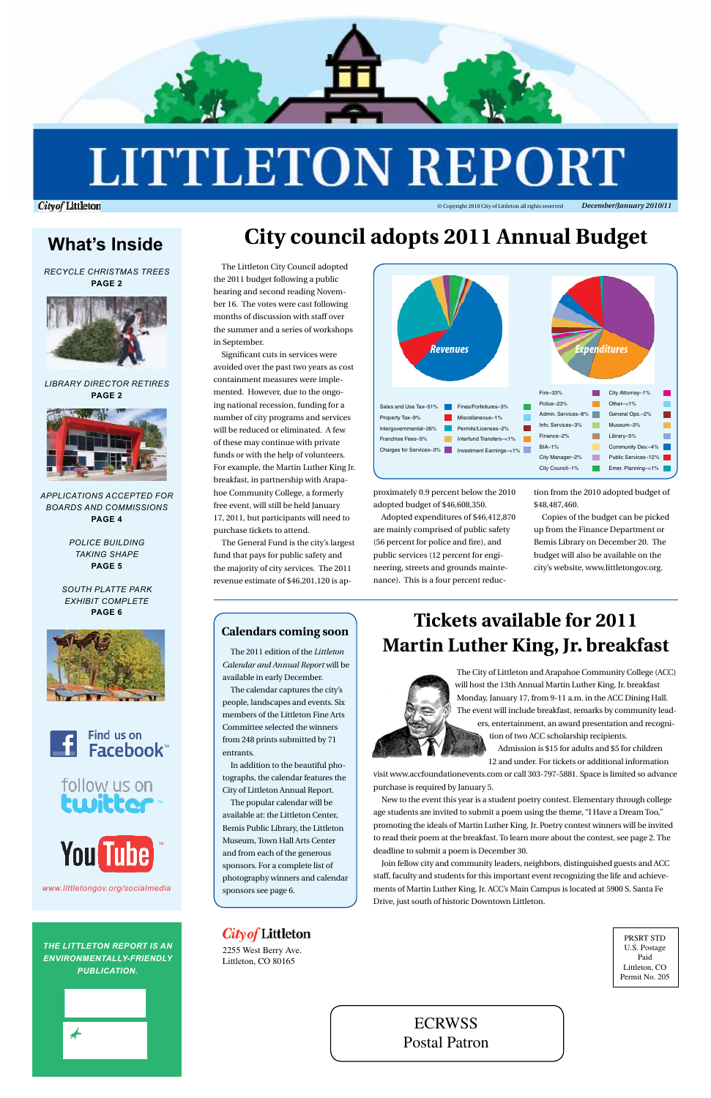

# **LITTLETON REPORT**

**City of Littleton** 

ECRWSS

Postal Patron

PRSRT STD U.S. Postage Paid Littleton, CO Permit No. 205

2255 West Berry Ave. Littleton, CO 80165

© Copyright 2010 City of Littleton all rights reserved *December/January 2010/11*

*Recycle Christmas trees* **page 2**



### *Library Director Retires* **page 2**



*applications accepted for boards and commissions* **Page 4**

*police building taking shape* **page 5**

*south platte park exhibit complete* **page 6**



# **City council adopts 2011 Annual Budget**

The Littleton City Council adopted the 2011 budget following a public hearing and second reading November 16. The votes were cast following months of discussion with staff over the summer and a series of workshops in September.

Significant cuts in services were avoided over the past two years as cost containment measures were implemented. However, due to the ongoing national recession, funding for a number of city programs and services will be reduced or eliminated. A few of these may continue with private funds or with the help of volunteers. For example, the Martin Luther King Jr. breakfast, in partnership with Arapahoe Community College, a formerly free event, will still be held January 17, 2011, but participants will need to purchase tickets to attend.

The General Fund is the city's largest fund that pays for public safety and the majority of city services. The 2011 revenue estimate of \$46,201,120 is ap-

### follow us on twitter ™

proximately 0.9 percent below the 2010 adopted budget of \$46,608,350.

Adopted expenditures of \$46,412,870 are mainly comprised of public safety (56 percent for police and fire), and public services (12 percent for engineering, streets and grounds maintenance). This is a four percent reduction from the 2010 adopted budget of \$48,487,460.

Copies of the budget can be picked up from the Finance Department or Bemis Library on December 20. The budget will also be available on the city's website, www.littletongov.org.

*The Littleton Report is an environmentally-friendly publication.*



### *City of* Littleton

# **What's Inside**

# **Tickets available for 2011** The 2011 edition of the *Littleton* **Martin Luther King, Jr. breakfast**



*Calendar and Annual Report* will be available in early December.

The calendar captures the city's people, landscapes and events. Six members of the Littleton Fine Arts Committee selected the winners from 248 prints submitted by 71 entrants.

In addition to the beautiful photographs, the calendar features the City of Littleton Annual Report.

The popular calendar will be available at: the Littleton Center, Bemis Public Library, the Littleton Museum, Town Hall Arts Center and from each of the generous sponsors. For a complete list of photography winners and calendar sponsors see page 6.

### **Calendars coming soon**

![](_page_0_Picture_14.jpeg)

![](_page_0_Picture_37.jpeg)

*www.littletongov.org/socialmedia*

The City of Littleton and Arapahoe Community College (ACC) will host the 13th Annual Martin Luther King, Jr. breakfast Monday, January 17, from 9-11 a.m. in the ACC Dining Hall. The event will include breakfast, remarks by community leaders, entertainment, an award presentation and recognition of two ACC scholarship recipients. Admission is \$15 for adults and \$5 for children

12 and under. For tickets or additional information

visit www.accfoundationevents.com or call 303-797-5881. Space is limited so advance purchase is required by January 5.

New to the event this year is a student poetry contest. Elementary through college age students are invited to submit a poem using the theme, "I Have a Dream Too," promoting the ideals of Martin Luther King, Jr. Poetry contest winners will be invited to read their poem at the breakfast. To learn more about the contest, see page 2. The deadline to submit a poem is December 30.

![](_page_0_Picture_36.jpeg)

Join fellow city and community leaders, neighbors, distinguished guests and ACC staff, faculty and students for this important event recognizing the life and achievements of Martin Luther King, Jr. ACC's Main Campus is located at 5900 S. Santa Fe Drive, just south of historic Downtown Littleton.

![](_page_0_Figure_20.jpeg)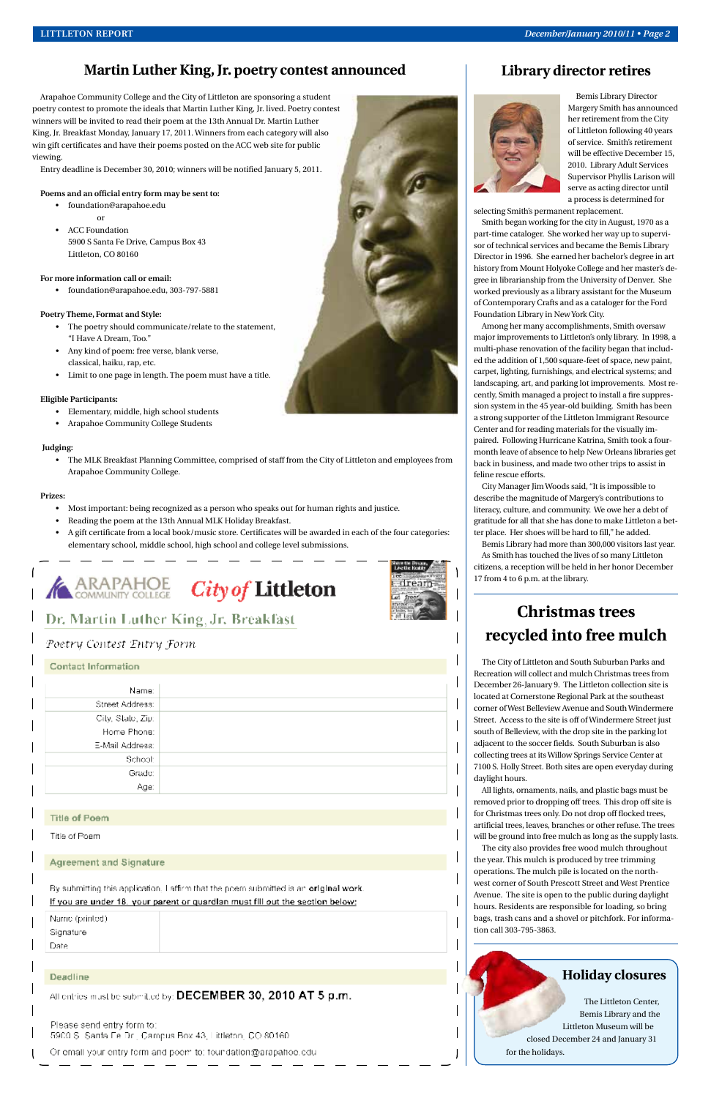### **Martin Luther King, Jr. poetry contest announced**

Arapahoe Community College and the City of Littleton are sponsoring a student poetry contest to promote the ideals that Martin Luther King, Jr. lived. Poetry contest winners will be invited to read their poem at the 13th Annual Dr. Martin Luther King, Jr. Breakfast Monday, January 17, 2011. Winners from each category will also win gift certificates and have their poems posted on the ACC web site for public viewing.

Entry deadline is December 30, 2010; winners will be notified January 5, 2011.

#### **Poems and an official entry form may be sent to:**

- foundation@arapahoe.edu
- or • ACC Foundation 5900 S Santa Fe Drive, Campus Box 43 Littleton, CO 80160

**For more information call or email:**

• foundation@arapahoe.edu, 303-797-5881

#### **Poetry Theme, Format and Style:**

- The poetry should communicate/relate to the statement, "I Have A Dream, Too."
- Any kind of poem: free verse, blank verse, classical, haiku, rap, etc.
- Limit to one page in length. The poem must have a title.

#### **Eligible Participants:**

- Elementary, middle, high school students
- Arapahoe Community College Students

#### **Judging:**

• The MLK Breakfast Planning Committee, comprised of staff from the City of Littleton and employees from Arapahoe Community College.

#### **Prizes:**

- Most important: being recognized as a person who speaks out for human rights and justice.
- Reading the poem at the 13th Annual MLK Holiday Breakfast.
- A gift certificate from a local book/music store. Certificates will be awarded in each of the four categories: elementary school, middle school, high school and college level submissions.

![](_page_1_Picture_23.jpeg)

![](_page_1_Picture_24.jpeg)

### Dr. Martin Luther King, Jr. Breakfast

### Poetry Contest Entry Form

| <b>Contact Information</b> |  |
|----------------------------|--|
| Name:                      |  |
| Street Address:            |  |
| City, State, Zip:          |  |
| Home Phone:                |  |
| E-Mail Address:            |  |
| School:                    |  |
| Grade:                     |  |
| Age:                       |  |

![](_page_1_Picture_28.jpeg)

**Library director retires**

Bemis Library Director Margery Smith has announced her retirement from the City of Littleton following 40 years of service. Smith's retirement will be effective December 15, 2010. Library Adult Services Supervisor Phyllis Larison will serve as acting director until a process is determined for

selecting Smith's permanent replacement.

Smith began working for the city in August, 1970 as a part-time cataloger. She worked her way up to supervisor of technical services and became the Bemis Library Director in 1996. She earned her bachelor's degree in art history from Mount Holyoke College and her master's degree in librarianship from the University of Denver. She worked previously as a library assistant for the Museum of Contemporary Crafts and as a cataloger for the Ford Foundation Library in New York City.

Among her many accomplishments, Smith oversaw major improvements to Littleton's only library. In 1998, a multi-phase renovation of the facility began that included the addition of 1,500 square-feet of space, new paint, carpet, lighting, furnishings, and electrical systems; and landscaping, art, and parking lot improvements. Most recently, Smith managed a project to install a fire suppression system in the 45 year-old building. Smith has been a strong supporter of the Littleton Immigrant Resource Center and for reading materials for the visually impaired. Following Hurricane Katrina, Smith took a fourmonth leave of absence to help New Orleans libraries get back in business, and made two other trips to assist in feline rescue efforts.

City Manager Jim Woods said, "It is impossible to describe the magnitude of Margery's contributions to literacy, culture, and community. We owe her a debt of gratitude for all that she has done to make Littleton a better place. Her shoes will be hard to fill," he added.

Bemis Library had more than 300,000 visitors last year. As Smith has touched the lives of so many Littleton citizens, a reception will be held in her honor December 17 from 4 to 6 p.m. at the library.

# **Christmas trees recycled into free mulch**

The City of Littleton and South Suburban Parks and Recreation will collect and mulch Christmas trees from December 26-January 9. The Littleton collection site is located at Cornerstone Regional Park at the southeast corner of West Belleview Avenue and South Windermere Street. Access to the site is off of Windermere Street just south of Belleview, with the drop site in the parking lot adjacent to the soccer fields. South Suburban is also collecting trees at its Willow Springs Service Center at 7100 S. Holly Street. Both sites are open everyday during daylight hours.

All lights, ornaments, nails, and plastic bags must be removed prior to dropping off trees. This drop off site is for Christmas trees only. Do not drop off flocked trees, artificial trees, leaves, branches or other refuse. The trees will be ground into free mulch as long as the supply lasts. The city also provides free wood mulch throughout the year. This mulch is produced by tree trimming operations. The mulch pile is located on the northwest corner of South Prescott Street and West Prentice Avenue. The site is open to the public during daylight hours. Residents are responsible for loading, so bring bags, trash cans and a shovel or pitchfork. For information call 303-795-3863.

![](_page_1_Picture_38.jpeg)

#### **Title of Poem**

#### Title of Poem

### **Agreement and Signature**

By submitting this application, I affirm that the poem submitted is an original work.

#### If you are under 18. your parent or quardlan must fill out the section below:

Name (printed) Signature

Date

#### Deadline

All entries must be submitted by: DECEMBER 30, 2010 AT 5  $p.m.$ 

Please send entry form to: 5900 S. Santa Fe Dr., Campus Box 43, Littleton, CO 80160.

Or email your entry form and poem to: foundation@arapahoe.edu

### **Holiday closures**

The Littleton Center, Bemis Library and the Littleton Museum will be closed December 24 and January 31 for the holidays.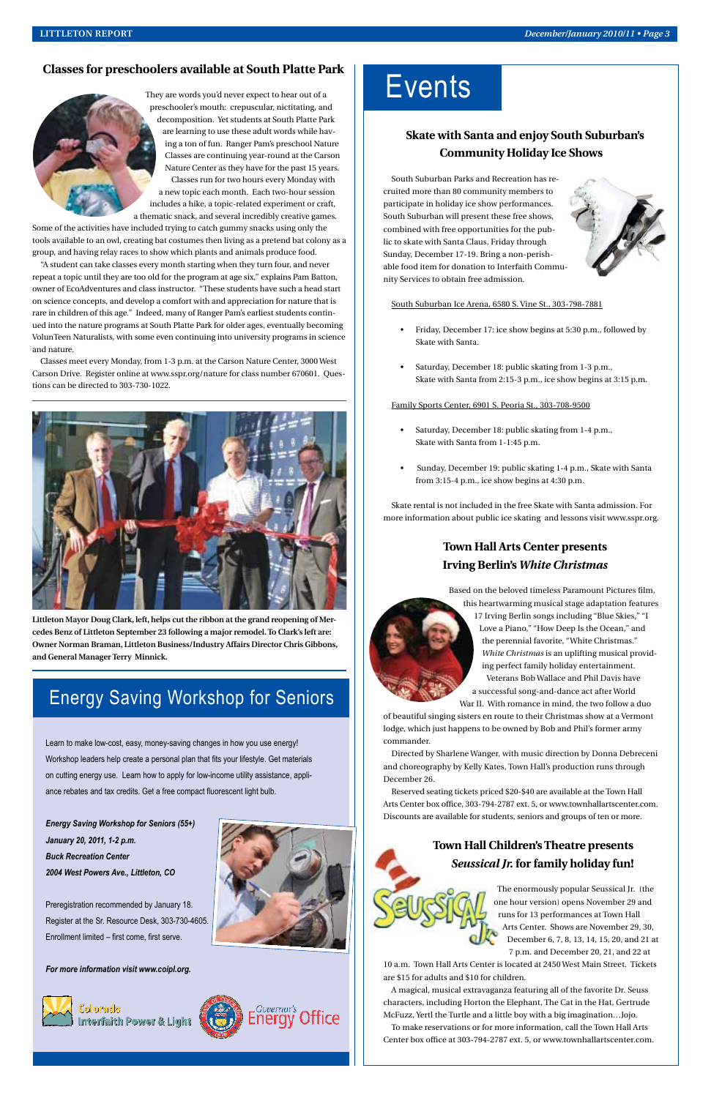### **Skate with Santa and enjoy South Suburban's Community Holiday Ice Shows**

South Suburban Parks and Recreation has recruited more than 80 community members to participate in holiday ice show performances. South Suburban will present these free shows, combined with free opportunities for the public to skate with Santa Claus, Friday through Sunday, December 17-19. Bring a non-perishable food item for donation to Interfaith Community Services to obtain free admission.

![](_page_2_Picture_15.jpeg)

South Suburban Ice Arena, 6580 S. Vine St., 303-798-7881

- Friday, December 17: ice show begins at 5:30 p.m., followed by Skate with Santa.
- Saturday, December 18: public skating from 1-3 p.m., Skate with Santa from 2:15-3 p.m., ice show begins at 3:15 p.m.

#### Family Sports Center, 6901 S. Peoria St., 303-708-9500

- Saturday, December 18: public skating from 1-4 p.m., Skate with Santa from 1-1:45 p.m.
- Sunday, December 19: public skating 1-4 p.m., Skate with Santa from 3:15-4 p.m., ice show begins at 4:30 p.m.

Skate rental is not included in the free Skate with Santa admission. For more information about public ice skating and lessons visit www.sspr.org.

### **Town Hall Arts Center presents Irving Berlin's** *White Christmas*

Based on the beloved timeless Paramount Pictures film, this heartwarming musical stage adaptation features

17 Irving Berlin songs including "Blue Skies," "I Love a Piano," "How Deep Is the Ocean," and the perennial favorite, "White Christmas." *White Christmas* is an uplifting musical providing perfect family holiday entertainment. Veterans Bob Wallace and Phil Davis have a successful song-and-dance act after World

War II. With romance in mind, the two follow a duo

of beautiful singing sisters en route to their Christmas show at a Vermont lodge, which just happens to be owned by Bob and Phil's former army commander.

Directed by Sharlene Wanger, with music direction by Donna Debreceni and choreography by Kelly Kates, Town Hall's production runs through December 26.

Reserved seating tickets priced \$20-\$40 are available at the Town Hall Arts Center box office, 303-794-2787 ext. 5, or www.townhallartscenter.com. Discounts are available for students, seniors and groups of ten or more.

### **Town Hall Children's Theatre presents**  *Seussical Jr.* **for family holiday fun!**

The enormously popular Seussical Jr. (the one hour version) opens November 29 and runs for 13 performances at Town Hall Arts Center. Shows are November 29, 30, December 6, 7, 8, 13, 14, 15, 20, and 21 at 7 p.m. and December 20, 21, and 22 at

10 a.m. Town Hall Arts Center is located at 2450 West Main Street. Tickets are \$15 for adults and \$10 for children.

A magical, musical extravaganza featuring all of the favorite Dr. Seuss characters, including Horton the Elephant, The Cat in the Hat, Gertrude McFuzz, Yertl the Turtle and a little boy with a big imagination…Jojo.

To make reservations or for more information, call the Town Hall Arts Center box office at 303-794-2787 ext. 5, or www.townhallartscenter.com.

## Energy Saving Workshop for Seniors

Learn to make low-cost, easy, money-saving changes in how you use energy! Workshop leaders help create a personal plan that fits your lifestyle. Get materials on cutting energy use. Learn how to apply for low-income utility assistance, appliance rebates and tax credits. Get a free compact fluorescent light bulb.

# **Events**

*Energy Saving Workshop for Seniors (55+) January 20, 2011, 1-2 p.m. Buck Recreation Center 2004 West Powers Ave., Littleton, CO*

Preregistration recommended by January 18. Register at the Sr. Resource Desk, 303-730-4605. Enrollment limited – first come, first serve.

*For more information visit www.coipl.org.*

![](_page_2_Picture_34.jpeg)

![](_page_2_Picture_35.jpeg)

![](_page_2_Picture_36.jpeg)

### **Classes for preschoolers available at South Platte Park**

![](_page_2_Picture_3.jpeg)

They are words you'd never expect to hear out of a preschooler's mouth: crepuscular, nictitating, and decomposition. Yet students at South Platte Park are learning to use these adult words while having a ton of fun. Ranger Pam's preschool Nature Classes are continuing year-round at the Carson Nature Center as they have for the past 15 years. Classes run for two hours every Monday with a new topic each month. Each two-hour session includes a hike, a topic-related experiment or craft, a thematic snack, and several incredibly creative games.

Some of the activities have included trying to catch gummy snacks using only the tools available to an owl, creating bat costumes then living as a pretend bat colony as a group, and having relay races to show which plants and animals produce food.

"A student can take classes every month starting when they turn four, and never repeat a topic until they are too old for the program at age six," explains Pam Batton, owner of EcoAdventures and class instructor. "These students have such a head start on science concepts, and develop a comfort with and appreciation for nature that is rare in children of this age." Indeed, many of Ranger Pam's earliest students continued into the nature programs at South Platte Park for older ages, eventually becoming VolunTeen Naturalists, with some even continuing into university programs in science and nature.

Classes meet every Monday, from 1-3 p.m. at the Carson Nature Center, 3000 West Carson Drive. Register online at www.sspr.org/nature for class number 670601. Questions can be directed to 303-730-1022.

![](_page_2_Picture_8.jpeg)

**Littleton Mayor Doug Clark, left, helps cut the ribbon at the grand reopening of Mercedes Benz of Littleton September 23 following a major remodel. To Clark's left are: Owner Norman Braman, Littleton Business/Industry Affairs Director Chris Gibbons, and General Manager Terry Minnick.**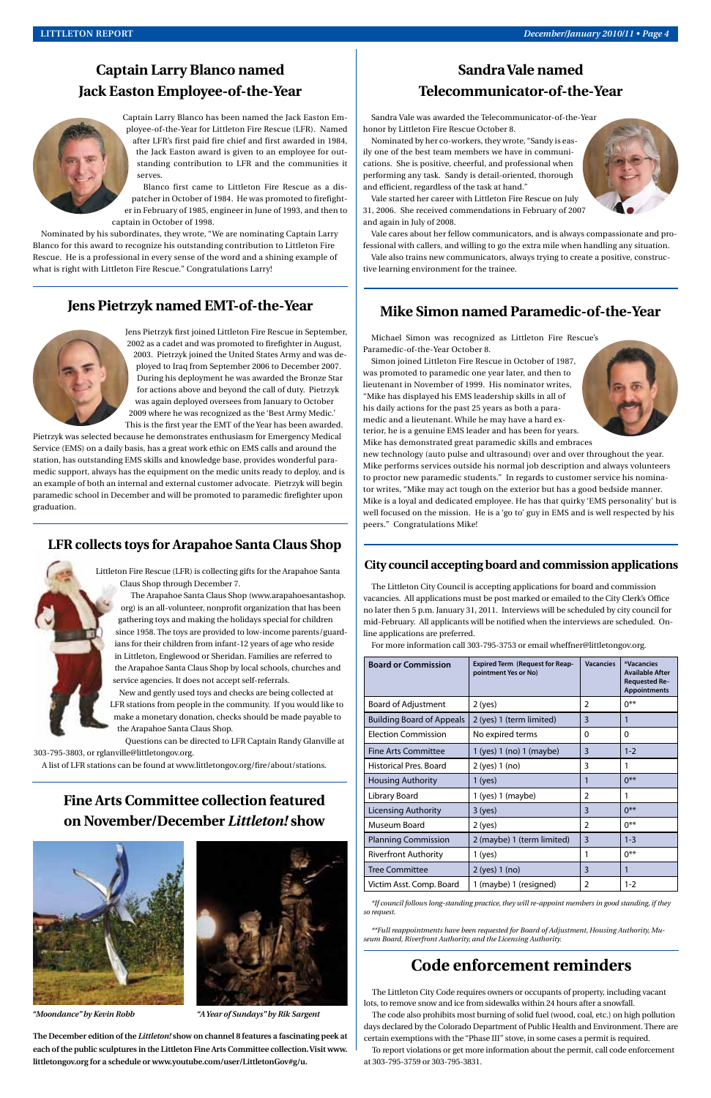### **Mike Simon named Paramedic-of-the-Year**

Michael Simon was recognized as Littleton Fire Rescue's Paramedic-of-the-Year October 8.

Simon joined Littleton Fire Rescue in October of 1987, was promoted to paramedic one year later, and then to lieutenant in November of 1999. His nominator writes, "Mike has displayed his EMS leadership skills in all of his daily actions for the past 25 years as both a paramedic and a lieutenant. While he may have a hard exterior, he is a genuine EMS leader and has been for years. Mike has demonstrated great paramedic skills and embraces

![](_page_3_Picture_28.jpeg)

new technology (auto pulse and ultrasound) over and over throughout the year. Mike performs services outside his normal job description and always volunteers to proctor new paramedic students." In regards to customer service his nominator writes, "Mike may act tough on the exterior but has a good bedside manner. Mike is a loyal and dedicated employee. He has that quirky 'EMS personality' but is well focused on the mission. He is a 'go to' guy in EMS and is well respected by his peers." Congratulations Mike!

### **Sandra Vale named Telecommunicator-of-the-Year**

Sandra Vale was awarded the Telecommunicator-of-the-Year honor by Littleton Fire Rescue October 8.

Nominated by her co-workers, they wrote, "Sandy is easily one of the best team members we have in communications. She is positive, cheerful, and professional when performing any task. Sandy is detail-oriented, thorough and efficient, regardless of the task at hand."

![](_page_3_Picture_21.jpeg)

Vale started her career with Littleton Fire Rescue on July 31, 2006. She received commendations in February of 2007 and again in July of 2008.

Vale cares about her fellow communicators, and is always compassionate and professional with callers, and willing to go the extra mile when handling any situation.

Vale also trains new communicators, always trying to create a positive, constructive learning environment for the trainee.

### **Captain Larry Blanco named Jack Easton Employee-of-the-Year**

![](_page_3_Picture_3.jpeg)

![](_page_3_Picture_4.jpeg)

Blanco first came to Littleton Fire Rescue as a dispatcher in October of 1984. He was promoted to firefighter in February of 1985, engineer in June of 1993, and then to captain in October of 1998.

Nominated by his subordinates, they wrote, "We are nominating Captain Larry Blanco for this award to recognize his outstanding contribution to Littleton Fire Rescue. He is a professional in every sense of the word and a shining example of what is right with Littleton Fire Rescue." Congratulations Larry!

### **LFR collects toys for Arapahoe Santa Claus Shop**

Littleton Fire Rescue (LFR) is collecting gifts for the Arapahoe Santa Claus Shop through December 7.

The Arapahoe Santa Claus Shop (www.arapahoesantashop. org) is an all-volunteer, nonprofit organization that has been gathering toys and making the holidays special for children since 1958. The toys are provided to low-income parents/guardians for their children from infant-12 years of age who reside in Littleton, Englewood or Sheridan. Families are referred to the Arapahoe Santa Claus Shop by local schools, churches and service agencies. It does not accept self-referrals.

New and gently used toys and checks are being collected at LFR stations from people in the community. If you would like to make a monetary donation, checks should be made payable to the Arapahoe Santa Claus Shop.

Questions can be directed to LFR Captain Randy Glanville at 303-795-3803, or rglanville@littletongov.org.

A list of LFR stations can be found at www.littletongov.org/fire/about/stations.

### **Jens Pietrzyk named EMT-of-the-Year**

![](_page_3_Picture_8.jpeg)

Jens Pietrzyk first joined Littleton Fire Rescue in September, 2002 as a cadet and was promoted to firefighter in August, 2003. Pietrzyk joined the United States Army and was deployed to Iraq from September 2006 to December 2007. During his deployment he was awarded the Bronze Star for actions above and beyond the call of duty. Pietrzyk was again deployed oversees from January to October 2009 where he was recognized as the 'Best Army Medic.' This is the first year the EMT of the Year has been awarded.

Pietrzyk was selected because he demonstrates enthusiasm for Emergency Medical Service (EMS) on a daily basis, has a great work ethic on EMS calls and around the station, has outstanding EMS skills and knowledge base, provides wonderful paramedic support, always has the equipment on the medic units ready to deploy, and is an example of both an internal and external customer advocate. Pietrzyk will begin paramedic school in December and will be promoted to paramedic firefighter upon graduation.

### **Fine Arts Committee collection featured**

### **on November/December** *Littleton!* **show**

![](_page_3_Picture_35.jpeg)

**The December edition of the** *Littleton!* **show on channel 8 features a fascinating peek at each of the public sculptures in the Littleton Fine Arts Committee collection. Visit www. littletongov.org for a schedule or www.youtube.com/user/LittletonGov#g/u.**

| <b>Board or Commission</b>       | <b>Expired Term (Request for Reap-</b><br>pointment Yes or No) | <b>Vacancies</b> | *Vacancies<br><b>Available After</b><br><b>Requested Re-</b><br><b>Appointments</b> |
|----------------------------------|----------------------------------------------------------------|------------------|-------------------------------------------------------------------------------------|
| <b>Board of Adjustment</b>       | $2$ (yes)                                                      | $\mathfrak{p}$   | $0***$                                                                              |
| <b>Building Board of Appeals</b> | 2 (yes) 1 (term limited)                                       | 3                | 1                                                                                   |
| <b>Election Commission</b>       | No expired terms                                               | 0                | $\Omega$                                                                            |
| Fine Arts Committee              | 1 (yes) 1 (no) 1 (maybe)                                       | 3                | $1 - 2$                                                                             |
| <b>Historical Pres. Board</b>    | 2 (yes) 1 (no)                                                 | 3                | 1                                                                                   |
| Housing Authority                | $1$ (yes)                                                      |                  | $0***$                                                                              |
| Library Board                    | 1 (yes) 1 (maybe)                                              | $\overline{2}$   | 1                                                                                   |
| <b>Licensing Authority</b>       | $3$ (yes)                                                      | 3                | $0***$                                                                              |
| Museum Board                     | $2$ (yes)                                                      | $\mathfrak{D}$   | $0***$                                                                              |
| <b>Planning Commission</b>       | 2 (maybe) 1 (term limited)                                     | 3                | $1 - 3$                                                                             |
| <b>Riverfront Authority</b>      | $1$ (yes)                                                      | 1                | $0***$                                                                              |
| Tree Committee                   | 2 (yes) 1 (no)                                                 | 3                | 1                                                                                   |
| Victim Asst. Comp. Board         | 1 (maybe) 1 (resigned)                                         | $\mathfrak{D}$   | $1 - 2$                                                                             |

The Littleton City Council is accepting applications for board and commission vacancies. All applications must be post marked or emailed to the City Clerk's Office no later then 5 p.m. January 31, 2011. Interviews will be scheduled by city council for mid-February. All applicants will be notified when the interviews are scheduled. Online applications are preferred.

For more information call 303-795-3753 or email wheffner@littletongov.org.

### **City council accepting board and commission applications**

*\*If council follows long-standing practice, they will re-appoint members in good standing, if they so request.* 

*\*\*Full reappointments have been requested for Board of Adjustment, Housing Authority, Museum Board, Riverfront Authority, and the Licensing Authority.*

### **Code enforcement reminders**

The Littleton City Code requires owners or occupants of property, including vacant lots, to remove snow and ice from sidewalks within 24 hours after a snowfall.

The code also prohibits most burning of solid fuel (wood, coal, etc.) on high pollution days declared by the Colorado Department of Public Health and Environment. There are certain exemptions with the "Phase III" stove, in some cases a permit is required.

To report violations or get more information about the permit, call code enforcement at 303-795-3759 or 303-795-3831.

*"Moondance" by Kevin Robb "A Year of Sundays" by Rik Sargent*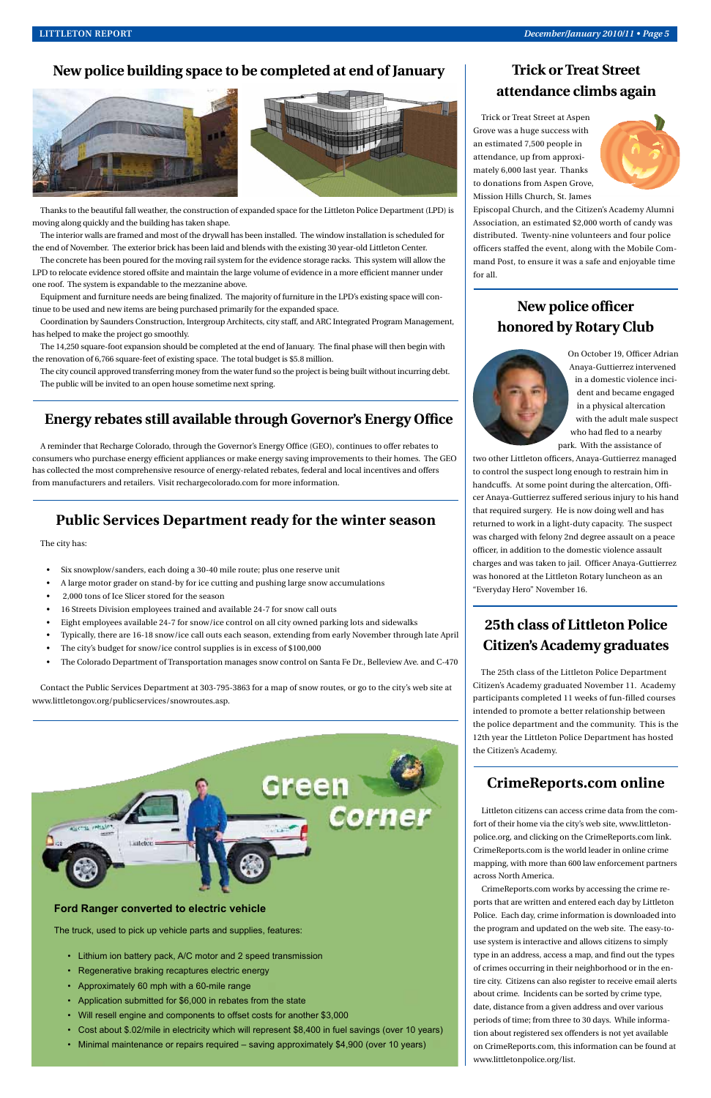### **Trick or Treat Street attendance climbs again**

Trick or Treat Street at Aspen Grove was a huge success with an estimated 7,500 people in attendance, up from approximately 6,000 last year. Thanks to donations from Aspen Grove, Mission Hills Church, St. James

![](_page_4_Picture_28.jpeg)

Episcopal Church, and the Citizen's Academy Alumni Association, an estimated \$2,000 worth of candy was distributed. Twenty-nine volunteers and four police officers staffed the event, along with the Mobile Command Post, to ensure it was a safe and enjoyable time for all.

### **New police officer honored by Rotary Club**

![](_page_4_Picture_31.jpeg)

On October 19, Officer Adrian Anaya-Guttierrez intervened in a domestic violence incident and became engaged in a physical altercation with the adult male suspect who had fled to a nearby park. With the assistance of

two other Littleton officers, Anaya-Guttierrez managed to control the suspect long enough to restrain him in handcuffs. At some point during the altercation, Officer Anaya-Guttierrez suffered serious injury to his hand that required surgery. He is now doing well and has returned to work in a light-duty capacity. The suspect was charged with felony 2nd degree assault on a peace officer, in addition to the domestic violence assault charges and was taken to jail. Officer Anaya-Guttierrez was honored at the Littleton Rotary luncheon as an "Everyday Hero" November 16.

### **25th class of Littleton Police Citizen's Academy graduates**

The 25th class of the Littleton Police Department Citizen's Academy graduated November 11. Academy participants completed 11 weeks of fun-filled courses intended to promote a better relationship between the police department and the community. This is the 12th year the Littleton Police Department has hosted the Citizen's Academy.

### **Energy rebates still available through Governor's Energy Office**

A reminder that Recharge Colorado, through the Governor's Energy Office (GEO), continues to offer rebates to consumers who purchase energy efficient appliances or make energy saving improvements to their homes. The GEO has collected the most comprehensive resource of energy-related rebates, federal and local incentives and offers from manufacturers and retailers. Visit rechargecolorado.com for more information.

### **Ford Ranger converted to electric vehicle**

The truck, used to pick up vehicle parts and supplies, features:

- Lithium ion battery pack, A/C motor and 2 speed transmission
- Regenerative braking recaptures electric energy
- Approximately 60 mph with a 60-mile range
- Application submitted for \$6,000 in rebates from the state
- Will resell engine and components to offset costs for another \$3,000
- Cost about \$.02/mile in electricity which will represent \$8,400 in fuel savings (over 10 years)
- Minimal maintenance or repairs required saving approximately \$4,900 (over 10 years)

### **New police building space to be completed at end of January**

![](_page_4_Picture_3.jpeg)

![](_page_4_Picture_4.jpeg)

Thanks to the beautiful fall weather, the construction of expanded space for the Littleton Police Department (LPD) is moving along quickly and the building has taken shape.

The interior walls are framed and most of the drywall has been installed. The window installation is scheduled for the end of November. The exterior brick has been laid and blends with the existing 30 year-old Littleton Center.

The concrete has been poured for the moving rail system for the evidence storage racks. This system will allow the LPD to relocate evidence stored offsite and maintain the large volume of evidence in a more efficient manner under one roof. The system is expandable to the mezzanine above.

Equipment and furniture needs are being finalized. The majority of furniture in the LPD's existing space will continue to be used and new items are being purchased primarily for the expanded space.

Coordination by Saunders Construction, Intergroup Architects, city staff, and ARC Integrated Program Management, has helped to make the project go smoothly.

The 14,250 square-foot expansion should be completed at the end of January. The final phase will then begin with the renovation of 6,766 square-feet of existing space. The total budget is \$5.8 million.

The city council approved transferring money from the water fund so the project is being built without incurring debt. The public will be invited to an open house sometime next spring.

### **CrimeReports.com online**

![](_page_4_Picture_37.jpeg)

Littleton citizens can access crime data from the comfort of their home via the city's web site, www.littletonpolice.org, and clicking on the CrimeReports.com link. CrimeReports.com is the world leader in online crime mapping, with more than 600 law enforcement partners across North America.

CrimeReports.com works by accessing the crime reports that are written and entered each day by Littleton Police. Each day, crime information is downloaded into the program and updated on the web site. The easy-touse system is interactive and allows citizens to simply type in an address, access a map, and find out the types of crimes occurring in their neighborhood or in the entire city. Citizens can also register to receive email alerts about crime. Incidents can be sorted by crime type, date, distance from a given address and over various periods of time; from three to 30 days. While information about registered sex offenders is not yet available on CrimeReports.com, this information can be found at www.littletonpolice.org/list.

### **Public Services Department ready for the winter season**

The city has:

- Six snowplow/sanders, each doing a 30-40 mile route; plus one reserve unit
- A large motor grader on stand-by for ice cutting and pushing large snow accumulations
- 2,000 tons of Ice Slicer stored for the season
- 16 Streets Division employees trained and available 24-7 for snow call outs
- Eight employees available 24-7 for snow/ice control on all city owned parking lots and sidewalks
- Typically, there are 16-18 snow/ice call outs each season, extending from early November through late April
- The city's budget for snow/ice control supplies is in excess of \$100,000
- The Colorado Department of Transportation manages snow control on Santa Fe Dr., Belleview Ave. and C-470

Contact the Public Services Department at 303-795-3863 for a map of snow routes, or go to the city's web site at www.littletongov.org/publicservices/snowroutes.asp.

![](_page_4_Picture_25.jpeg)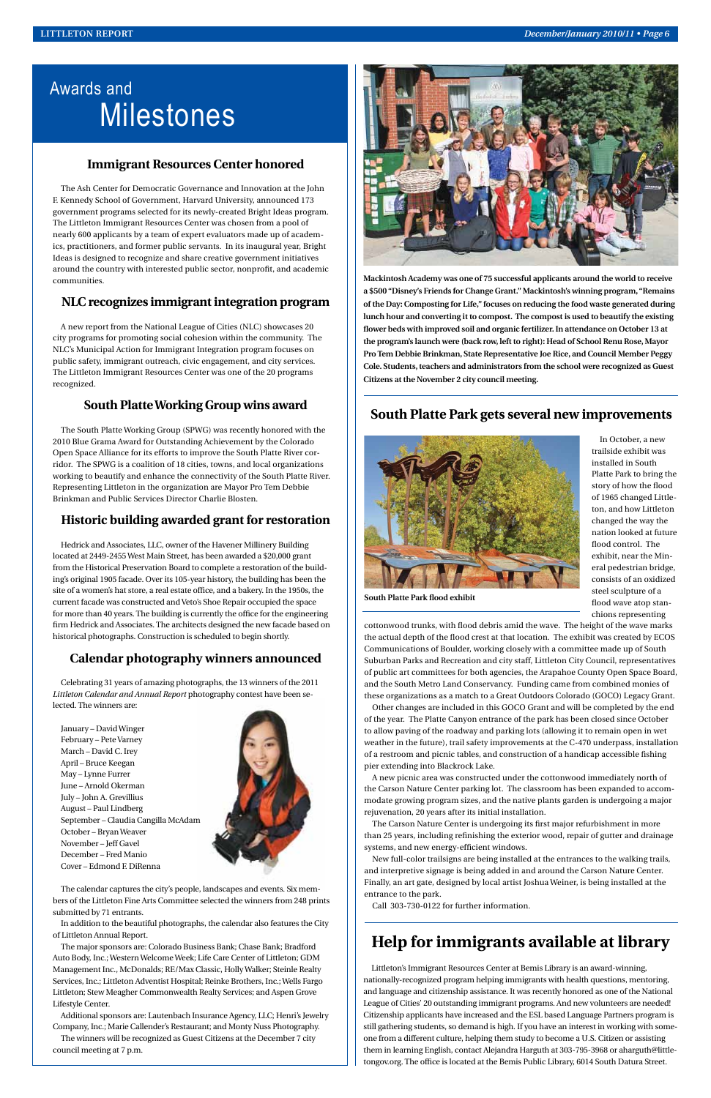# Awards and Milestones

### **Immigrant Resources Center honored**

The Ash Center for Democratic Governance and Innovation at the John F. Kennedy School of Government, Harvard University, announced 173 government programs selected for its newly-created Bright Ideas program. The Littleton Immigrant Resources Center was chosen from a pool of nearly 600 applicants by a team of expert evaluators made up of academics, practitioners, and former public servants. In its inaugural year, Bright Ideas is designed to recognize and share creative government initiatives around the country with interested public sector, nonprofit, and academic communities.

### **NLC recognizes immigrant integration program**

A new report from the National League of Cities (NLC) showcases 20 city programs for promoting social cohesion within the community. The NLC's Municipal Action for Immigrant Integration program focuses on public safety, immigrant outreach, civic engagement, and city services. The Littleton Immigrant Resources Center was one of the 20 programs recognized.

### **South Platte Working Group wins award**

The South Platte Working Group (SPWG) was recently honored with the 2010 Blue Grama Award for Outstanding Achievement by the Colorado Open Space Alliance for its efforts to improve the South Platte River corridor. The SPWG is a coalition of 18 cities, towns, and local organizations working to beautify and enhance the connectivity of the South Platte River. Representing Littleton in the organization are Mayor Pro Tem Debbie Brinkman and Public Services Director Charlie Blosten.

### **Historic building awarded grant for restoration**

Hedrick and Associates, LLC, owner of the Havener Millinery Building located at 2449-2455 West Main Street, has been awarded a \$20,000 grant from the Historical Preservation Board to complete a restoration of the building's original 1905 facade. Over its 105-year history, the building has been the site of a women's hat store, a real estate office, and a bakery. In the 1950s, the current facade was constructed and Veto's Shoe Repair occupied the space for more than 40 years. The building is currently the office for the engineering firm Hedrick and Associates. The architects designed the new facade based on historical photographs. Construction is scheduled to begin shortly.

### **Calendar photography winners announced**

Celebrating 31 years of amazing photographs, the 13 winners of the 2011 *Littleton Calendar and Annual Report* photography contest have been selected. The winners are:

January – David Winger February – Pete Varney March – David C. Irey April – Bruce Keegan May – Lynne Furrer June – Arnold Okerman July – John A. Grevillius August – Paul Lindberg September – Claudia Cangilla McAdam October – Bryan Weaver November – Jeff Gavel December – Fred Manio Cover – Edmond F. DiRenna

![](_page_5_Picture_14.jpeg)

![](_page_5_Picture_15.jpeg)

The calendar captures the city's people, landscapes and events. Six members of the Littleton Fine Arts Committee selected the winners from 248 prints submitted by 71 entrants.

In addition to the beautiful photographs, the calendar also features the City of Littleton Annual Report.

The major sponsors are: Colorado Business Bank; Chase Bank; Bradford Auto Body, Inc.; Western Welcome Week; Life Care Center of Littleton; GDM Management Inc., McDonalds; RE/Max Classic, Holly Walker; Steinle Realty Services, Inc.; Littleton Adventist Hospital; Reinke Brothers, Inc.; Wells Fargo Littleton; Stew Meagher Commonwealth Realty Services; and Aspen Grove Lifestyle Center.

Additional sponsors are: Lautenbach Insurance Agency, LLC; Henri's Jewelry Company, Inc.; Marie Callender's Restaurant; and Monty Nuss Photography. The winners will be recognized as Guest Citizens at the December 7 city council meeting at 7 p.m.

**Mackintosh Academy was one of 75 successful applicants around the world to receive a \$500 "Disney's Friends for Change Grant." Mackintosh's winning program, "Remains of the Day: Composting for Life," focuses on reducing the food waste generated during lunch hour and converting it to compost. The compost is used to beautify the existing flower beds with improved soil and organic fertilizer. In attendance on October 13 at the program's launch were (back row, left to right): Head of School Renu Rose, Mayor Pro Tem Debbie Brinkman, State Representative Joe Rice, and Council Member Peggy Cole. Students, teachers and administrators from the school were recognized as Guest Citizens at the November 2 city council meeting.**

### **Help for immigrants available at library**

Littleton's Immigrant Resources Center at Bemis Library is an award-winning, nationally-recognized program helping immigrants with health questions, mentoring, and language and citizenship assistance. It was recently honored as one of the National League of Cities' 20 outstanding immigrant programs. And new volunteers are needed! Citizenship applicants have increased and the ESL based Language Partners program is still gathering students, so demand is high. If you have an interest in working with someone from a different culture, helping them study to become a U.S. Citizen or assisting them in learning English, contact Alejandra Harguth at 303-795-3968 or aharguth@littletongov.org. The office is located at the Bemis Public Library, 6014 South Datura Street.

### **South Platte Park gets several new improvements**

![](_page_5_Picture_18.jpeg)

In October, a new trailside exhibit was installed in South Platte Park to bring the story of how the flood of 1965 changed Littleton, and how Littleton changed the way the nation looked at future flood control. The exhibit, near the Mineral pedestrian bridge, consists of an oxidized steel sculpture of a flood wave atop stanchions representing

cottonwood trunks, with flood debris amid the wave. The height of the wave marks the actual depth of the flood crest at that location. The exhibit was created by ECOS Communications of Boulder, working closely with a committee made up of South Suburban Parks and Recreation and city staff, Littleton City Council, representatives of public art committees for both agencies, the Arapahoe County Open Space Board, and the South Metro Land Conservancy. Funding came from combined monies of these organizations as a match to a Great Outdoors Colorado (GOCO) Legacy Grant.

Other changes are included in this GOCO Grant and will be completed by the end of the year. The Platte Canyon entrance of the park has been closed since October to allow paving of the roadway and parking lots (allowing it to remain open in wet weather in the future), trail safety improvements at the C-470 underpass, installation of a restroom and picnic tables, and construction of a handicap accessible fishing pier extending into Blackrock Lake.

A new picnic area was constructed under the cottonwood immediately north of the Carson Nature Center parking lot. The classroom has been expanded to accommodate growing program sizes, and the native plants garden is undergoing a major

rejuvenation, 20 years after its initial installation.

The Carson Nature Center is undergoing its first major refurbishment in more than 25 years, including refinishing the exterior wood, repair of gutter and drainage systems, and new energy-efficient windows.

New full-color trailsigns are being installed at the entrances to the walking trails, and interpretive signage is being added in and around the Carson Nature Center. Finally, an art gate, designed by local artist Joshua Weiner, is being installed at the entrance to the park.

Call 303-730-0122 for further information.

**South Platte Park flood exhibit**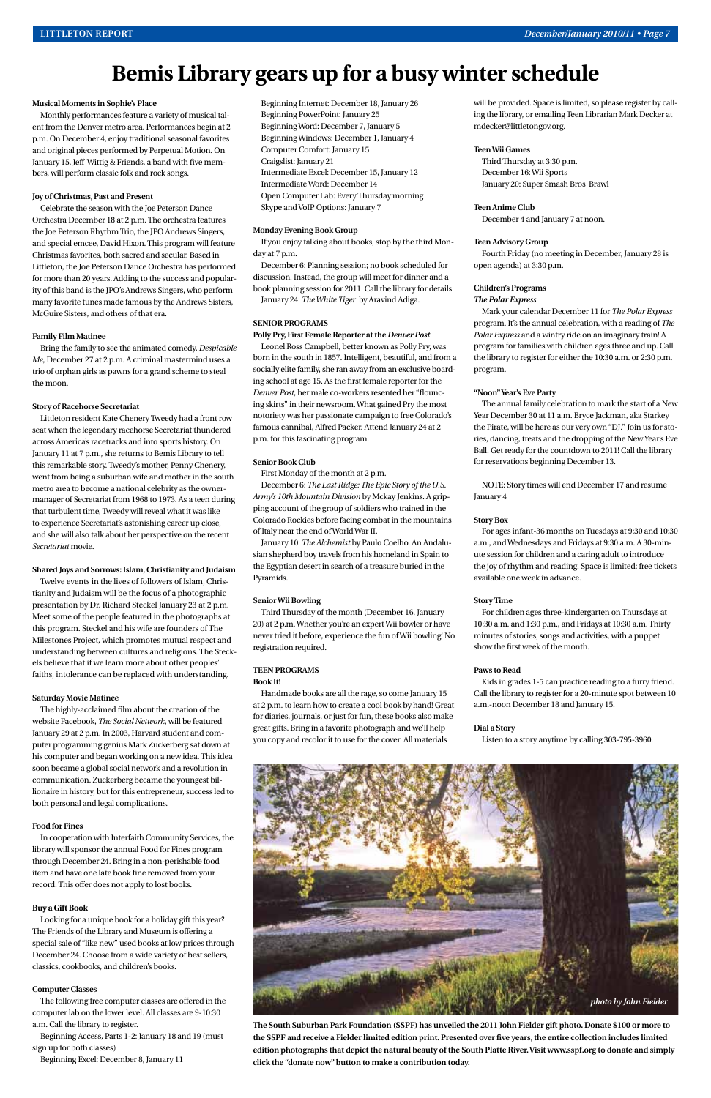#### **Musical Moments in Sophie's Place**

Monthly performances feature a variety of musical talent from the Denver metro area. Performances begin at 2 p.m. On December 4, enjoy traditional seasonal favorites and original pieces performed by Perpetual Motion. On January 15, Jeff Wittig & Friends, a band with five members, will perform classic folk and rock songs.

#### **Joy of Christmas, Past and Present**

Celebrate the season with the Joe Peterson Dance Orchestra December 18 at 2 p.m. The orchestra features the Joe Peterson Rhythm Trio, the JPO Andrews Singers, and special emcee, David Hixon. This program will feature Christmas favorites, both sacred and secular. Based in Littleton, the Joe Peterson Dance Orchestra has performed for more than 20 years. Adding to the success and popularity of this band is the JPO's Andrews Singers, who perform many favorite tunes made famous by the Andrews Sisters, McGuire Sisters, and others of that era.

#### **Family Film Matinee**

Bring the family to see the animated comedy, *Despicable Me*, December 27 at 2 p.m. A criminal mastermind uses a trio of orphan girls as pawns for a grand scheme to steal the moon.

#### **Story of Racehorse Secretariat**

Littleton resident Kate Chenery Tweedy had a front row seat when the legendary racehorse Secretariat thundered across America's racetracks and into sports history. On January 11 at 7 p.m., she returns to Bemis Library to tell this remarkable story. Tweedy's mother, Penny Chenery, went from being a suburban wife and mother in the south metro area to become a national celebrity as the ownermanager of Secretariat from 1968 to 1973. As a teen during that turbulent time, Tweedy will reveal what it was like to experience Secretariat's astonishing career up close, and she will also talk about her perspective on the recent *Secretariat* movie.

#### **Shared Joys and Sorrows: Islam, Christianity and Judaism**

Twelve events in the lives of followers of Islam, Christianity and Judaism will be the focus of a photographic presentation by Dr. Richard Steckel January 23 at 2 p.m. Meet some of the people featured in the photographs at this program. Steckel and his wife are founders of The Milestones Project, which promotes mutual respect and understanding between cultures and religions. The Steckels believe that if we learn more about other peoples' faiths, intolerance can be replaced with understanding.

#### **Saturday Movie Matinee**

The highly-acclaimed film about the creation of the website Facebook, *The Social Network*, will be featured January 29 at 2 p.m. In 2003, Harvard student and computer programming genius Mark Zuckerberg sat down at his computer and began working on a new idea. This idea soon became a global social network and a revolution in communication. Zuckerberg became the youngest billionaire in history, but for this entrepreneur, success led to both personal and legal complications.

#### **Food for Fines**

In cooperation with Interfaith Community Services, the library will sponsor the annual Food for Fines program through December 24. Bring in a non-perishable food item and have one late book fine removed from your record. This offer does not apply to lost books.

#### **Buy a Gift Book**

Looking for a unique book for a holiday gift this year? The Friends of the Library and Museum is offering a special sale of "like new" used books at low prices through December 24. Choose from a wide variety of best sellers, classics, cookbooks, and children's books.

#### **Computer Classes**

The following free computer classes are offered in the computer lab on the lower level. All classes are 9-10:30 a.m. Call the library to register.

Beginning Access, Parts 1-2: January 18 and 19 (must sign up for both classes)

Beginning Excel: December 8, January 11

Beginning Internet: December 18, January 26 Beginning PowerPoint: January 25 Beginning Word: December 7, January 5 Beginning Windows: December 1, January 4 Computer Comfort: January 15 Craigslist: January 21 Intermediate Excel: December 15, January 12 Intermediate Word: December 14 Open Computer Lab: Every Thursday morning Skype and VoIP Options: January 7

#### **Monday Evening Book Group**

If you enjoy talking about books, stop by the third Monday at 7 p.m.

December 6: Planning session; no book scheduled for discussion. Instead, the group will meet for dinner and a book planning session for 2011. Call the library for details.

January 24: *The White Tiger* by Aravind Adiga.

#### **SENIOR PROGRAMS**

**Polly Pry, First Female Reporter at the** *Denver Post* Leonel Ross Campbell, better known as Polly Pry, was born in the south in 1857. Intelligent, beautiful, and from a socially elite family, she ran away from an exclusive boarding school at age 15. As the first female reporter for the *Denver Post*, her male co-workers resented her "flouncing skirts" in their newsroom. What gained Pry the most notoriety was her passionate campaign to free Colorado's famous cannibal, Alfred Packer. Attend January 24 at 2 p.m. for this fascinating program.

#### **Senior Book Club**

First Monday of the month at 2 p.m.

December 6: *The Last Ridge: The Epic Story of the U.S. Army's 10th Mountain Division* by Mckay Jenkins. A gripping account of the group of soldiers who trained in the Colorado Rockies before facing combat in the mountains of Italy near the end of World War II.

January 10: *The Alchemist* by Paulo Coelho. An Andalusian shepherd boy travels from his homeland in Spain to the Egyptian desert in search of a treasure buried in the Pyramids.

#### **Senior Wii Bowling**

Third Thursday of the month (December 16, January 20) at 2 p.m. Whether you're an expert Wii bowler or have never tried it before, experience the fun of Wii bowling! No registration required.

#### **TEEN PROGRAMS Book It!**

Handmade books are all the rage, so come January 15 at 2 p.m. to learn how to create a cool book by hand! Great for diaries, journals, or just for fun, these books also make great gifts. Bring in a favorite photograph and we'll help you copy and recolor it to use for the cover. All materials

will be provided. Space is limited, so please register by calling the library, or emailing Teen Librarian Mark Decker at mdecker@littletongov.org.

#### **Teen Wii Games**

Third Thursday at 3:30 p.m. December 16: Wii Sports January 20: Super Smash Bros Brawl

#### **Teen Anime Club**

December 4 and January 7 at noon.

#### **Teen Advisory Group**

Fourth Friday (no meeting in December, January 28 is open agenda) at 3:30 p.m.

#### **Children's Programs** *The Polar Express*

Mark your calendar December 11 for *The Polar Express* program. It's the annual celebration, with a reading of *The Polar Express* and a wintry ride on an imaginary train! A program for families with children ages three and up. Call the library to register for either the 10:30 a.m. or 2:30 p.m. program.

#### **"Noon" Year's Eve Party**

The annual family celebration to mark the start of a New Year December 30 at 11 a.m. Bryce Jackman, aka Starkey the Pirate, will be here as our very own "DJ." Join us for stories, dancing, treats and the dropping of the New Year's Eve Ball. Get ready for the countdown to 2011! Call the library for reservations beginning December 13.

NOTE: Story times will end December 17 and resume January 4

#### **Story Box**

For ages infant-36 months on Tuesdays at 9:30 and 10:30 a.m., and Wednesdays and Fridays at 9:30 a.m. A 30-minute session for children and a caring adult to introduce the joy of rhythm and reading. Space is limited; free tickets available one week in advance.

#### **Story Time**

For children ages three-kindergarten on Thursdays at 10:30 a.m. and 1:30 p.m., and Fridays at 10:30 a.m. Thirty minutes of stories, songs and activities, with a puppet show the first week of the month.

#### **Paws to Read**

Kids in grades 1-5 can practice reading to a furry friend. Call the library to register for a 20-minute spot between 10 a.m.-noon December 18 and January 15.

#### **Dial a Story**

Listen to a story anytime by calling 303-795-3960.

# **Bemis Library gears up for a busy winter schedule**

**The South Suburban Park Foundation (SSPF) has unveiled the 2011 John Fielder gift photo. Donate \$100 or more to the SSPF and receive a Fielder limited edition print. Presented over five years, the entire collection includes limited edition photographs that depict the natural beauty of the South Platte River. Visit www.sspf.org to donate and simply click the "donate now" button to make a contribution today.**

![](_page_6_Picture_50.jpeg)